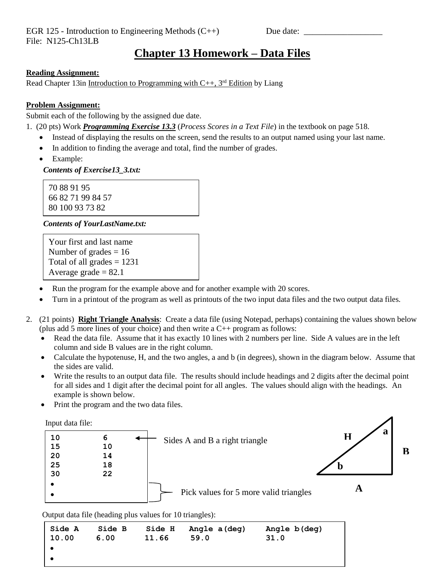## **Chapter 13 Homework – Data Files**

### **Reading Assignment:**

Read Chapter 13in Introduction to Programming with  $C_{++}$ , 3<sup>rd</sup> Edition by Liang

#### **Problem Assignment:**

Submit each of the following by the assigned due date.

- 1. (20 pts) Work *Programming Exercise 13.3* (*Process Scores in a Text File*) in the textbook on page 518.
	- Instead of displaying the results on the screen, send the results to an output named using your last name.
	- In addition to finding the average and total, find the number of grades.
	- Example:

 *Contents of Exercise13\_3.txt:*

70 88 91 95 66 82 71 99 84 57 80 100 93 73 82

#### *Contents of YourLastName.txt:*

```
Your first and last name
Number of grades = 16Total of all grades = 1231Average grade = 82.1
```
- Run the program for the example above and for another example with 20 scores.
- Turn in a printout of the program as well as printouts of the two input data files and the two output data files.
- 2. (21 points) **Right Triangle Analysis**: Create a data file (using Notepad, perhaps) containing the values shown below (plus add 5 more lines of your choice) and then write a C++ program as follows:
	- Read the data file. Assume that it has exactly 10 lines with 2 numbers per line. Side A values are in the left column and side B values are in the right column.
	- Calculate the hypotenuse, H, and the two angles, a and b (in degrees), shown in the diagram below. Assume that the sides are valid.
	- Write the results to an output data file. The results should include headings and 2 digits after the decimal point for all sides and 1 digit after the decimal point for all angles. The values should align with the headings. An example is shown below.
	- Print the program and the two data files.

Input data file:



Output data file (heading plus values for 10 triangles):

| <b>Side A</b> | Side B | <b>Side H</b> | Angle a (deg) | Angle b(deg) |
|---------------|--------|---------------|---------------|--------------|
| 10.00         | 6.00   | 11.66         | 59.0          | 31.0         |
|               |        |               |               |              |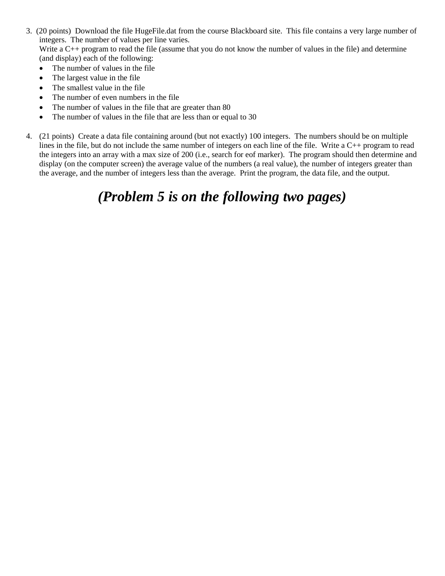- 3. (20 points) Download the file HugeFile.dat from the course Blackboard site. This file contains a very large number of integers. The number of values per line varies. Write a C<sub>++</sub> program to read the file (assume that you do not know the number of values in the file) and determine (and display) each of the following:
	- The number of values in the file
	- The largest value in the file
	- The smallest value in the file
	- The number of even numbers in the file
	- The number of values in the file that are greater than 80
	- The number of values in the file that are less than or equal to 30
- 4. (21 points) Create a data file containing around (but not exactly) 100 integers. The numbers should be on multiple lines in the file, but do not include the same number of integers on each line of the file. Write a C++ program to read the integers into an array with a max size of 200 (i.e., search for eof marker). The program should then determine and display (on the computer screen) the average value of the numbers (a real value), the number of integers greater than the average, and the number of integers less than the average. Print the program, the data file, and the output.

# *(Problem 5 is on the following two pages)*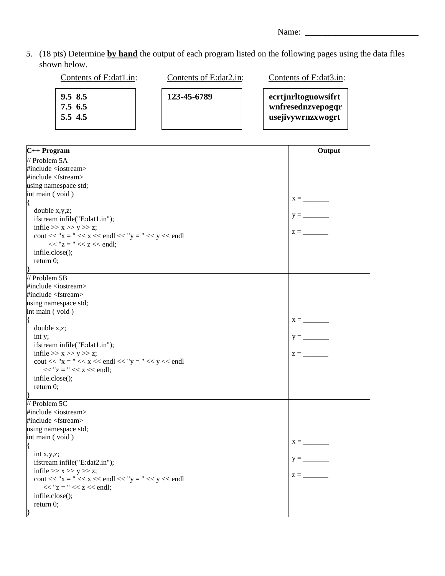Name: \_\_\_\_\_\_\_\_\_\_\_\_\_\_\_\_\_\_\_\_\_\_\_\_\_\_

5. (18 pts) Determine **by hand** the output of each program listed on the following pages using the data files shown below.

| Contents of E:dat1.in:          | Contents of E:dat2.in: | Contents of E:dat3.in:                                        |
|---------------------------------|------------------------|---------------------------------------------------------------|
| 9.58.5<br>7.5, 6.5<br>$5.5$ 4.5 | 123-45-6789            | ecrtjnrltoguowsifrt<br>wnfresednzvepogqr<br>usejivywrnzxwogrt |

| $C++$ Program                                                                       | Output                         |
|-------------------------------------------------------------------------------------|--------------------------------|
| $\frac{1}{2}$ Problem 5A                                                            |                                |
| #include <iostream></iostream>                                                      |                                |
| #include <fstream></fstream>                                                        |                                |
| using namespace std;                                                                |                                |
| int main (void)                                                                     |                                |
|                                                                                     |                                |
| double x,y,z;                                                                       |                                |
| ifstream infile("E:dat1.in");                                                       |                                |
| infile $>> x >> y >> z$ ;                                                           |                                |
| cout << "x = " << x << endl << "y = " << y << endl                                  | $z = \underline{\hspace{2cm}}$ |
| $<<$ "z = " $<<$ z $<<$ endl;                                                       |                                |
| infile.close();                                                                     |                                |
| return 0;                                                                           |                                |
|                                                                                     |                                |
| // Problem 5B                                                                       |                                |
| #include <iostream></iostream>                                                      |                                |
| #include <fstream></fstream>                                                        |                                |
| using namespace std;                                                                |                                |
| int main (void)                                                                     |                                |
|                                                                                     | $x = \underline{\qquad}$       |
| double x,z;                                                                         |                                |
| int y;                                                                              |                                |
| ifstream infile("E:dat1.in");                                                       |                                |
| infile $>> x >> y >> z$ ;                                                           | $z =$                          |
| cout << "x = " << x << endl << "y = " << y << endl                                  |                                |
| $<<$ "z = " $<<$ z $<<$ endl;                                                       |                                |
| infile.close();                                                                     |                                |
| return 0;                                                                           |                                |
|                                                                                     |                                |
| $\frac{1}{2}$ Problem 5C                                                            |                                |
| #include <iostream></iostream>                                                      |                                |
| #include <fstream></fstream>                                                        |                                |
| using namespace std;                                                                |                                |
| int main (void)                                                                     | $X =$                          |
|                                                                                     |                                |
| int $x,y,z$ ;                                                                       | $y =$                          |
| ifstream infile("E:dat2.in");                                                       |                                |
| infile $>> x >> y >> z$ ;                                                           | $z =$                          |
| cout << "x = " << x << endl << "y = " << y << endl<br>$<<$ "z = " $<<$ z $<<$ endl; |                                |
|                                                                                     |                                |
| infile.close();                                                                     |                                |
| return $0$ ;                                                                        |                                |
|                                                                                     |                                |